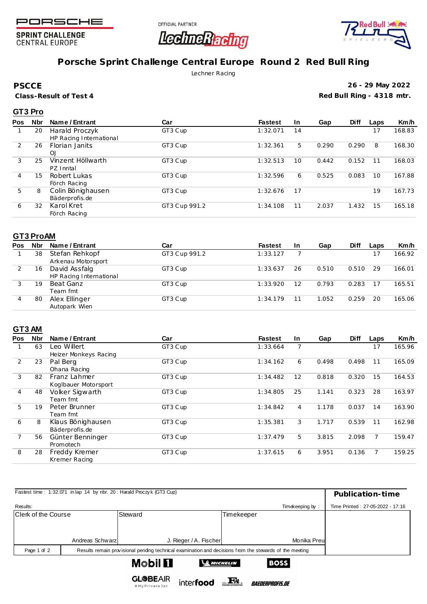

**SPRINT CHALLENGE CENTRAL EUROPE** 





# **Porsche Sprint Challenge Central Europe Round 2 Red Bull Ring**

Lechner Racing

**PSCCE**

**Class-Result of Test 4**

**26 - 29 May 2022 Red Bull Ring - 4318 mtr.**

### **GT3 Pro**

| <b>Pos</b> | <b>Nbr</b> | Name / Entrant          | Car           | <b>Fastest</b> | <b>In</b> | Gap   | <b>Diff</b> | Laps | Km/h   |
|------------|------------|-------------------------|---------------|----------------|-----------|-------|-------------|------|--------|
|            | 20         | Harald Proczyk          | GT3 Cup       | 1:32.071       | 14        |       |             | 17   | 168.83 |
|            |            | HP Racing International |               |                |           |       |             |      |        |
| 2          | 26         | <b>Florian Janits</b>   | GT3 Cup       | 1:32.361       | 5.        | 0.290 | 0.290       | 8    | 168.30 |
|            |            | QJ                      |               |                |           |       |             |      |        |
| 3          | 25         | Vinzent Höllwarth       | GT3 Cup       | 1:32.513       | 10        | 0.442 | 0.152       | 11   | 168.03 |
|            |            | PZ Inntal               |               |                |           |       |             |      |        |
| 4          | 15         | Robert Lukas            | GT3 Cup       | 1:32.596       | 6         | 0.525 | 0.083       | 10   | 167.88 |
|            |            | Förch Racing            |               |                |           |       |             |      |        |
| 5          | 8          | Colin Bönighausen       | GT3 Cup       | 1:32.676       | 17        |       |             | 19   | 167.73 |
|            |            | Bäderprofis.de          |               |                |           |       |             |      |        |
| 6          | 32         | Karol Kret              | GT3 Cup 991.2 | 1:34.108       | 11        | 2.037 | 1.432       | 15   | 165.18 |
|            |            | Förch Racing            |               |                |           |       |             |      |        |

#### **GT3 ProAM**

| Pos | Nbr | Name / Entrant          | Car           | <b>Fastest</b> | <b>In</b> | Gap   | <b>Diff</b> | Laps | Km/h   |
|-----|-----|-------------------------|---------------|----------------|-----------|-------|-------------|------|--------|
|     | 38  | Stefan Rehkopf          | GT3 Cup 991.2 | 1:33.127       |           |       |             |      | 166.92 |
|     |     | Arkenau Motorsport      |               |                |           |       |             |      |        |
|     | 16  | David Assfalg           | GT3 Cup       | 1:33.637       | 26        | 0.510 | 0.510       | 29   | 166.01 |
|     |     | HP Racing International |               |                |           |       |             |      |        |
|     | 19  | Beat Ganz               | GT3 Cup       | 1:33.920       | 12        | 0.793 | 0.283       | 17   | 165.51 |
|     |     | Team fmt                |               |                |           |       |             |      |        |
|     | 80  | Alex Ellinger           | GT3 Cup       | 1:34.179       |           | 1.052 | 0.259       | 20   | 165.06 |
|     |     | Autopark Wien           |               |                |           |       |             |      |        |

### **GT3 AM**

| <b>Pos</b> | <b>Nbr</b> | Name / Entrant        | Car     | <b>Fastest</b> | <b>In</b> | Gap   | <b>Diff</b> | Laps | Km/h   |
|------------|------------|-----------------------|---------|----------------|-----------|-------|-------------|------|--------|
|            | 63         | Leo Willert           | GT3 Cup | 1:33.664       |           |       |             | 17   | 165.96 |
|            |            | Heizer Monkeys Racing |         |                |           |       |             |      |        |
| 2          | 23         | Pal Berg              | GT3 Cup | 1:34.162       | 6         | 0.498 | 0.498       | 11   | 165.09 |
|            |            | Ohana Racing          |         |                |           |       |             |      |        |
| 3          | 82         | Franz Lahmer          | GT3 Cup | 1:34.482       | 12        | 0.818 | 0.320       | 15   | 164.53 |
|            |            | Koglbauer Motorsport  |         |                |           |       |             |      |        |
| 4          | 48         | Volker Sigwarth       | GT3 Cup | 1:34.805       | 25        | 1.141 | 0.323       | 28   | 163.97 |
|            |            | Team fmt              |         |                |           |       |             |      |        |
| 5          | 19         | Peter Brunner         | GT3 Cup | 1:34.842       | 4         | 1.178 | 0.037       | 14   | 163.90 |
|            |            | Team fmt              |         |                |           |       |             |      |        |
| 6          | 8          | Klaus Bönighausen     | GT3 Cup | 1:35.381       | 3         | 1.717 | 0.539       | 11   | 162.98 |
|            |            | Bäderprofis.de        |         |                |           |       |             |      |        |
|            | 56         | Günter Benninger      | GT3 Cup | 1:37.479       | 5         | 3.815 | 2.098       | 7    | 159.47 |
|            |            | Promotech             |         |                |           |       |             |      |        |
| 8          | 28         | Freddy Kremer         | GT3 Cup | 1:37.615       | 6         | 3.951 | 0.136       |      | 159.25 |
|            |            | Kremer Racing         |         |                |           |       |             |      |        |

| Fastest time: 1:32.071 in lap 14 by nbr. 20: Harald Proczyk (GT3 Cup) | Publication-time                                                                                        |                                       |            |                 |                                  |  |  |  |  |  |  |
|-----------------------------------------------------------------------|---------------------------------------------------------------------------------------------------------|---------------------------------------|------------|-----------------|----------------------------------|--|--|--|--|--|--|
|                                                                       |                                                                                                         |                                       |            |                 |                                  |  |  |  |  |  |  |
| Results:                                                              |                                                                                                         |                                       |            | Timekeeping by: | Time Printed: 27-05-2022 - 17:16 |  |  |  |  |  |  |
| Clerk of the Course                                                   |                                                                                                         | Steward                               | Timekeeper |                 |                                  |  |  |  |  |  |  |
|                                                                       |                                                                                                         |                                       |            |                 |                                  |  |  |  |  |  |  |
|                                                                       |                                                                                                         |                                       |            |                 |                                  |  |  |  |  |  |  |
|                                                                       | Andreas Schwarz                                                                                         | J. Rieger / A. Fischer                |            | Monika Preul    |                                  |  |  |  |  |  |  |
| Page 1 of 2                                                           | Results remain provisional pending technical examination and decisions from the stewards of the meeting |                                       |            |                 |                                  |  |  |  |  |  |  |
|                                                                       |                                                                                                         | <b>Mobil El</b><br><b>SE MICHELIN</b> |            | <b>BOSS</b>     |                                  |  |  |  |  |  |  |